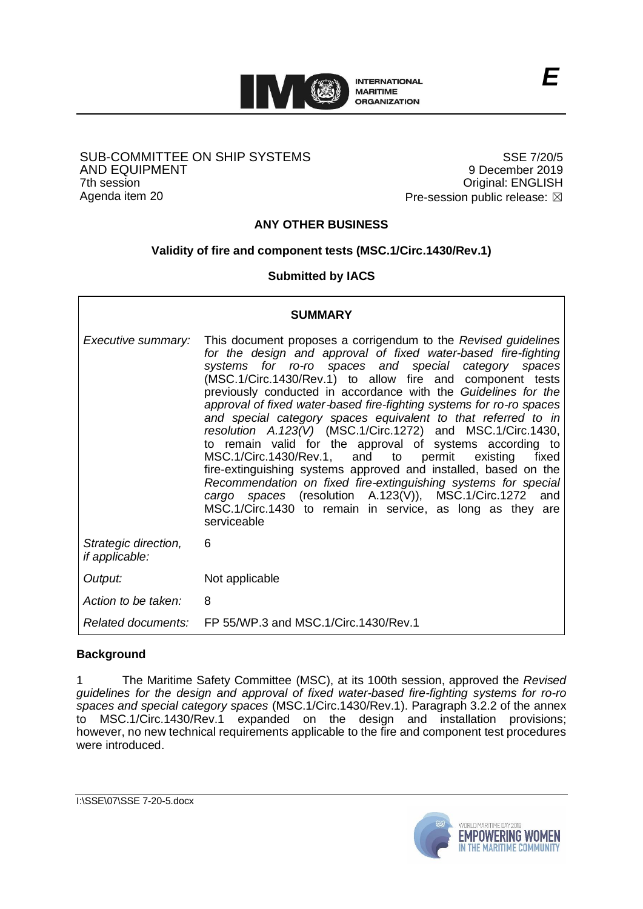

#### SUB-COMMITTEE ON SHIP SYSTEMS AND EQUIPMENT 7th session Agenda item 20

SSE 7/20/5 9 December 2019 Original: ENGLISH Pre-session public release:  $\boxtimes$ 

# **ANY OTHER BUSINESS**

# **Validity of fire and component tests (MSC.1/Circ.1430/Rev.1)**

### **Submitted by IACS**

| <b>SUMMARY</b>                                |                                                                                                                                                                                                                                                                                                                                                                                                                                                                                                                                                                                                                                                                                                                                                                                                                                                                                                                                     |
|-----------------------------------------------|-------------------------------------------------------------------------------------------------------------------------------------------------------------------------------------------------------------------------------------------------------------------------------------------------------------------------------------------------------------------------------------------------------------------------------------------------------------------------------------------------------------------------------------------------------------------------------------------------------------------------------------------------------------------------------------------------------------------------------------------------------------------------------------------------------------------------------------------------------------------------------------------------------------------------------------|
| Executive summary:                            | This document proposes a corrigendum to the Revised guidelines<br>for the design and approval of fixed water-based fire-fighting<br>systems for ro-ro spaces and special category spaces<br>(MSC.1/Circ.1430/Rev.1) to allow fire and component tests<br>previously conducted in accordance with the Guidelines for the<br>approval of fixed water-based fire-fighting systems for ro-ro spaces<br>and special category spaces equivalent to that referred to in<br>resolution A.123(V) (MSC.1/Circ.1272) and MSC.1/Circ.1430,<br>to remain valid for the approval of systems according to<br>MSC.1/Circ.1430/Rev.1, and to permit existing<br>fixed<br>fire-extinguishing systems approved and installed, based on the<br>Recommendation on fixed fire-extinguishing systems for special<br>cargo spaces (resolution A.123(V)), MSC.1/Circ.1272 and<br>MSC.1/Circ.1430 to remain in service, as long as they<br>are<br>serviceable |
| Strategic direction,<br><i>if applicable:</i> | 6                                                                                                                                                                                                                                                                                                                                                                                                                                                                                                                                                                                                                                                                                                                                                                                                                                                                                                                                   |
| Output:                                       | Not applicable                                                                                                                                                                                                                                                                                                                                                                                                                                                                                                                                                                                                                                                                                                                                                                                                                                                                                                                      |
| Action to be taken:                           | 8                                                                                                                                                                                                                                                                                                                                                                                                                                                                                                                                                                                                                                                                                                                                                                                                                                                                                                                                   |
|                                               | Related documents: FP 55/WP.3 and MSC.1/Circ.1430/Rev.1                                                                                                                                                                                                                                                                                                                                                                                                                                                                                                                                                                                                                                                                                                                                                                                                                                                                             |

### **Background**

 $\overline{\phantom{a}}$ 

1 The Maritime Safety Committee (MSC), at its 100th session, approved the *Revised guidelines for the design and approval of fixed water-based fire-fighting systems for ro-ro spaces and special category spaces* (MSC.1/Circ.1430/Rev.1). Paragraph 3.2.2 of the annex MSC.1/Circ.1430/Rev.1 expanded on the design and installation provisions; however, no new technical requirements applicable to the fire and component test procedures were introduced.



٦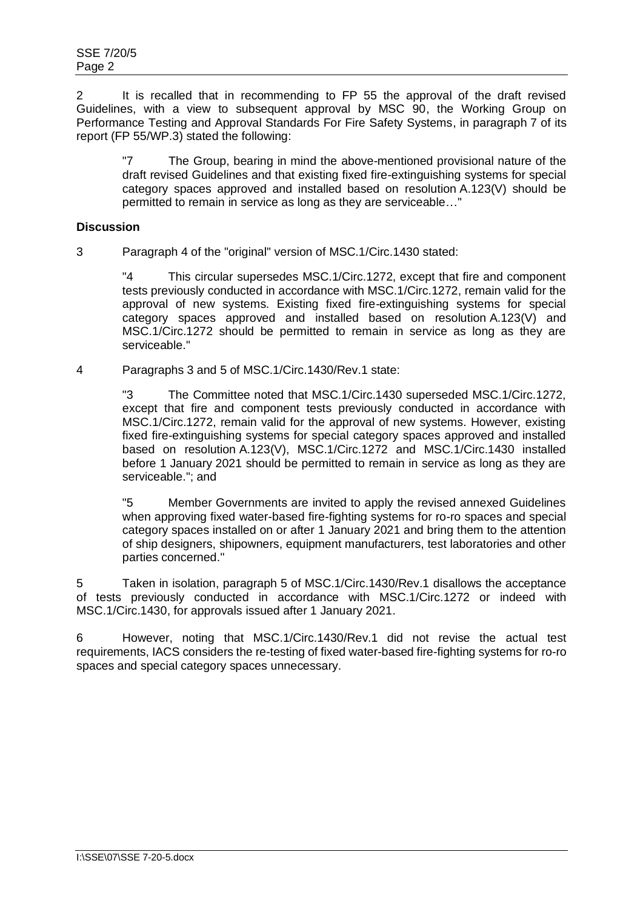2 It is recalled that in recommending to FP 55 the approval of the draft revised Guidelines, with a view to subsequent approval by MSC 90, the Working Group on Performance Testing and Approval Standards For Fire Safety Systems, in paragraph 7 of its report (FP 55/WP.3) stated the following:

"7 The Group, bearing in mind the above-mentioned provisional nature of the draft revised Guidelines and that existing fixed fire-extinguishing systems for special category spaces approved and installed based on resolution A.123(V) should be permitted to remain in service as long as they are serviceable…"

#### **Discussion**

3 Paragraph 4 of the "original" version of MSC.1/Circ.1430 stated:

"4 This circular supersedes MSC.1/Circ.1272, except that fire and component tests previously conducted in accordance with MSC.1/Circ.1272, remain valid for the approval of new systems. Existing fixed fire-extinguishing systems for special category spaces approved and installed based on resolution A.123(V) and MSC.1/Circ.1272 should be permitted to remain in service as long as they are serviceable."

4 Paragraphs 3 and 5 of MSC.1/Circ.1430/Rev.1 state:

"3 The Committee noted that MSC.1/Circ.1430 superseded MSC.1/Circ.1272, except that fire and component tests previously conducted in accordance with MSC.1/Circ.1272, remain valid for the approval of new systems. However, existing fixed fire-extinguishing systems for special category spaces approved and installed based on resolution A.123(V), MSC.1/Circ.1272 and MSC.1/Circ.1430 installed before 1 January 2021 should be permitted to remain in service as long as they are serviceable."; and

"5 Member Governments are invited to apply the revised annexed Guidelines when approving fixed water-based fire-fighting systems for ro-ro spaces and special category spaces installed on or after 1 January 2021 and bring them to the attention of ship designers, shipowners, equipment manufacturers, test laboratories and other parties concerned."

5 Taken in isolation, paragraph 5 of MSC.1/Circ.1430/Rev.1 disallows the acceptance of tests previously conducted in accordance with MSC.1/Circ.1272 or indeed with MSC.1/Circ.1430, for approvals issued after 1 January 2021.

6 However, noting that MSC.1/Circ.1430/Rev.1 did not revise the actual test requirements, IACS considers the re-testing of fixed water-based fire-fighting systems for ro-ro spaces and special category spaces unnecessary.